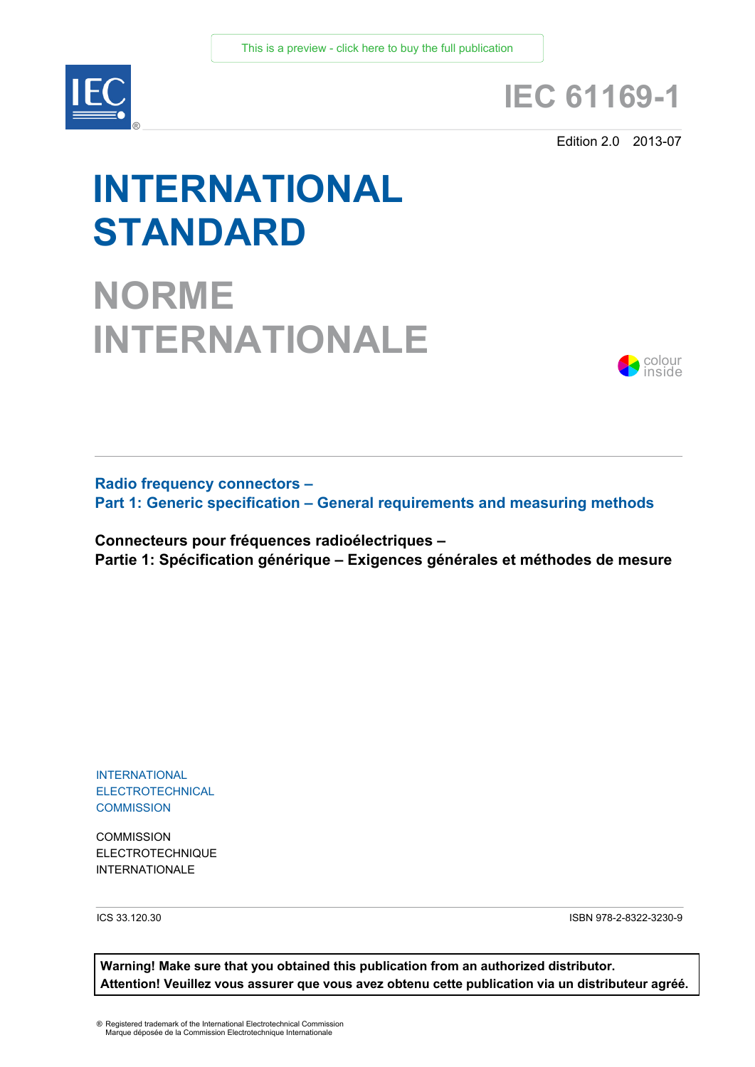

# **IEC 61169-1**

Edition 2.0 2013-07

# **INTERNATIONAL STANDARD**

**NORME INTERNATIONALE**



**Radio frequency connectors – Part 1: Generic specification – General requirements and measuring methods**

**Connecteurs pour fréquences radioélectriques – Partie 1: Spécification générique – Exigences générales et méthodes de mesure**

INTERNATIONAL ELECTROTECHNICAL **COMMISSION** 

**COMMISSION** ELECTROTECHNIQUE INTERNATIONALE

ICS 33.120.30 ISBN 978-2-8322-3230-9

**Warning! Make sure that you obtained this publication from an authorized distributor. Attention! Veuillez vous assurer que vous avez obtenu cette publication via un distributeur agréé.**

® Registered trademark of the International Electrotechnical Commission Marque déposée de la Commission Electrotechnique Internationale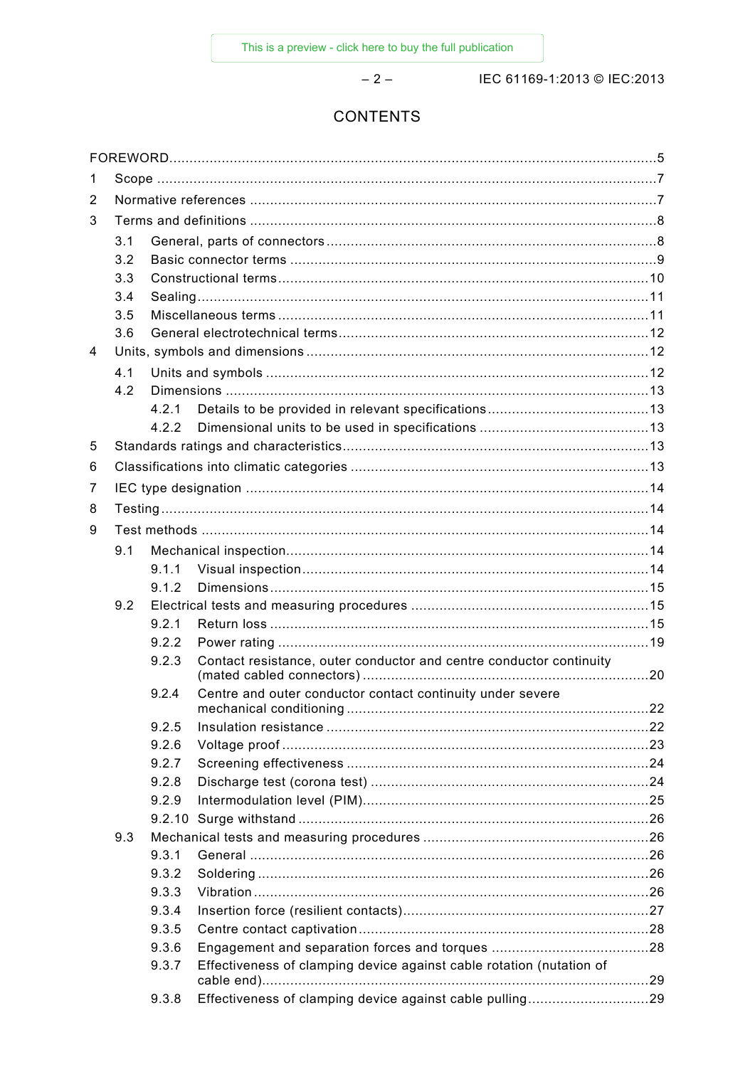$-2-$ 

IEC 61169-1:2013 © IEC:2013

# **CONTENTS**

| 1              |     |       |                                                                      |  |
|----------------|-----|-------|----------------------------------------------------------------------|--|
| 2              |     |       |                                                                      |  |
| 3              |     |       |                                                                      |  |
|                | 3.1 |       |                                                                      |  |
|                | 3.2 |       |                                                                      |  |
|                | 3.3 |       |                                                                      |  |
|                | 3.4 |       |                                                                      |  |
|                | 3.5 |       |                                                                      |  |
|                | 3.6 |       |                                                                      |  |
| $\overline{4}$ |     |       |                                                                      |  |
|                | 4.1 |       |                                                                      |  |
|                | 4.2 |       |                                                                      |  |
|                |     | 4 2 1 |                                                                      |  |
|                |     | 422   |                                                                      |  |
| 5              |     |       |                                                                      |  |
| 6              |     |       |                                                                      |  |
| 7              |     |       |                                                                      |  |
| 8              |     |       |                                                                      |  |
| 9              |     |       |                                                                      |  |
|                | 9.1 |       |                                                                      |  |
|                |     | 9.1.1 |                                                                      |  |
|                |     | 9.1.2 |                                                                      |  |
|                | 9.2 |       |                                                                      |  |
|                |     | 9.2.1 |                                                                      |  |
|                |     | 9.2.2 |                                                                      |  |
|                |     | 9.2.3 | Contact resistance, outer conductor and centre conductor continuity  |  |
|                |     | 9.2.4 | Centre and outer conductor contact continuity under severe           |  |
|                |     | 9.2.5 |                                                                      |  |
|                |     | 9.2.6 |                                                                      |  |
|                |     | 9.2.7 |                                                                      |  |
|                |     | 9.2.8 |                                                                      |  |
|                |     | 9.2.9 |                                                                      |  |
|                |     |       |                                                                      |  |
|                | 9.3 |       |                                                                      |  |
|                |     | 9.3.1 |                                                                      |  |
|                |     | 9.3.2 |                                                                      |  |
|                |     | 9.3.3 |                                                                      |  |
|                |     | 9.3.4 |                                                                      |  |
|                |     | 9.3.5 |                                                                      |  |
|                |     | 9.3.6 |                                                                      |  |
|                |     | 9.3.7 | Effectiveness of clamping device against cable rotation (nutation of |  |
|                |     | 9.3.8 | Effectiveness of clamping device against cable pulling29             |  |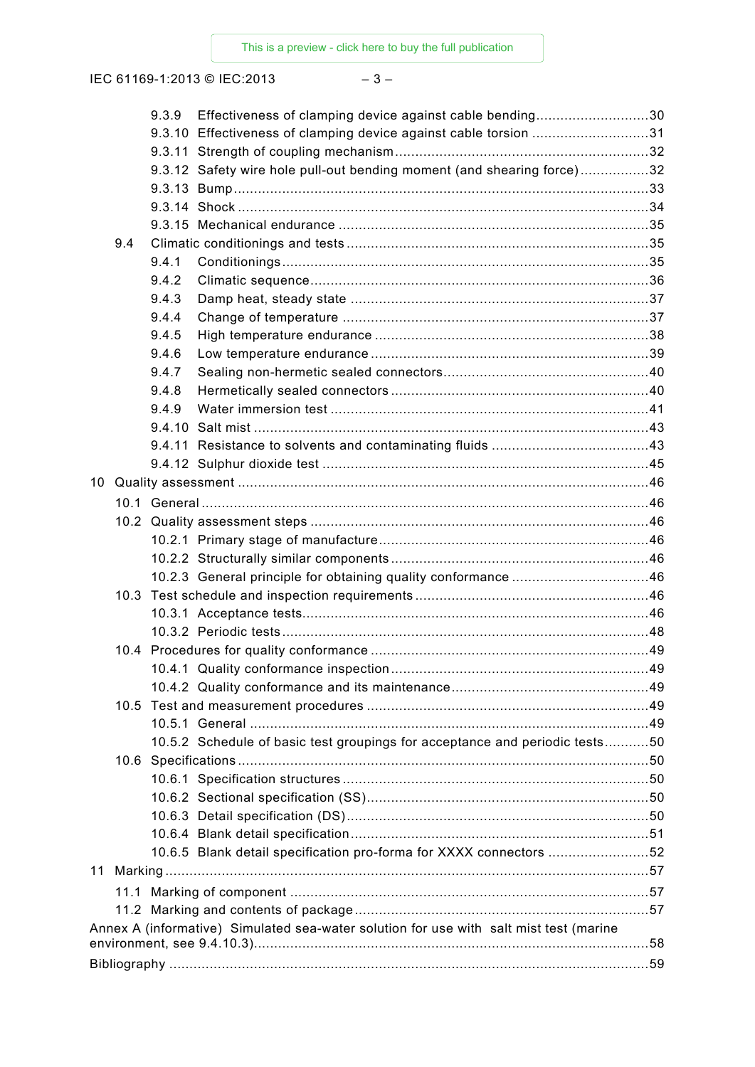IEC 61169-1:2013 © IEC:2013 – 3 –

|      | 9.3.9 | Effectiveness of clamping device against cable bending30                                                                                              |  |
|------|-------|-------------------------------------------------------------------------------------------------------------------------------------------------------|--|
|      |       | 9.3.10 Effectiveness of clamping device against cable torsion 31                                                                                      |  |
|      |       |                                                                                                                                                       |  |
|      |       | 9.3.12 Safety wire hole pull-out bending moment (and shearing force)32                                                                                |  |
|      |       |                                                                                                                                                       |  |
|      |       |                                                                                                                                                       |  |
|      |       |                                                                                                                                                       |  |
| 9.4  |       |                                                                                                                                                       |  |
|      | 9.4.1 |                                                                                                                                                       |  |
|      | 9.4.2 |                                                                                                                                                       |  |
|      | 9.4.3 |                                                                                                                                                       |  |
|      | 9.4.4 |                                                                                                                                                       |  |
|      | 9.4.5 |                                                                                                                                                       |  |
|      | 9.4.6 |                                                                                                                                                       |  |
|      | 9.4.7 |                                                                                                                                                       |  |
|      | 9.4.8 |                                                                                                                                                       |  |
|      | 9.4.9 |                                                                                                                                                       |  |
|      |       |                                                                                                                                                       |  |
|      |       |                                                                                                                                                       |  |
|      |       |                                                                                                                                                       |  |
|      |       |                                                                                                                                                       |  |
|      |       |                                                                                                                                                       |  |
|      |       |                                                                                                                                                       |  |
|      |       |                                                                                                                                                       |  |
|      |       |                                                                                                                                                       |  |
|      |       |                                                                                                                                                       |  |
|      |       |                                                                                                                                                       |  |
|      |       |                                                                                                                                                       |  |
|      |       |                                                                                                                                                       |  |
|      |       |                                                                                                                                                       |  |
|      |       |                                                                                                                                                       |  |
| 10.5 |       |                                                                                                                                                       |  |
|      |       |                                                                                                                                                       |  |
|      |       | 10.5.2 Schedule of basic test groupings for acceptance and periodic tests50                                                                           |  |
|      |       |                                                                                                                                                       |  |
|      |       |                                                                                                                                                       |  |
|      |       |                                                                                                                                                       |  |
|      |       |                                                                                                                                                       |  |
|      |       |                                                                                                                                                       |  |
|      |       | 10.6.5 Blank detail specification pro-forma for XXXX connectors 52                                                                                    |  |
|      |       |                                                                                                                                                       |  |
|      |       |                                                                                                                                                       |  |
|      |       |                                                                                                                                                       |  |
|      |       | Annex A (informative) Simulated sea-water solution for use with salt mist test (marine<br>environment, see 9.4.10.3)…………………………………………………………………………………58 |  |
|      |       |                                                                                                                                                       |  |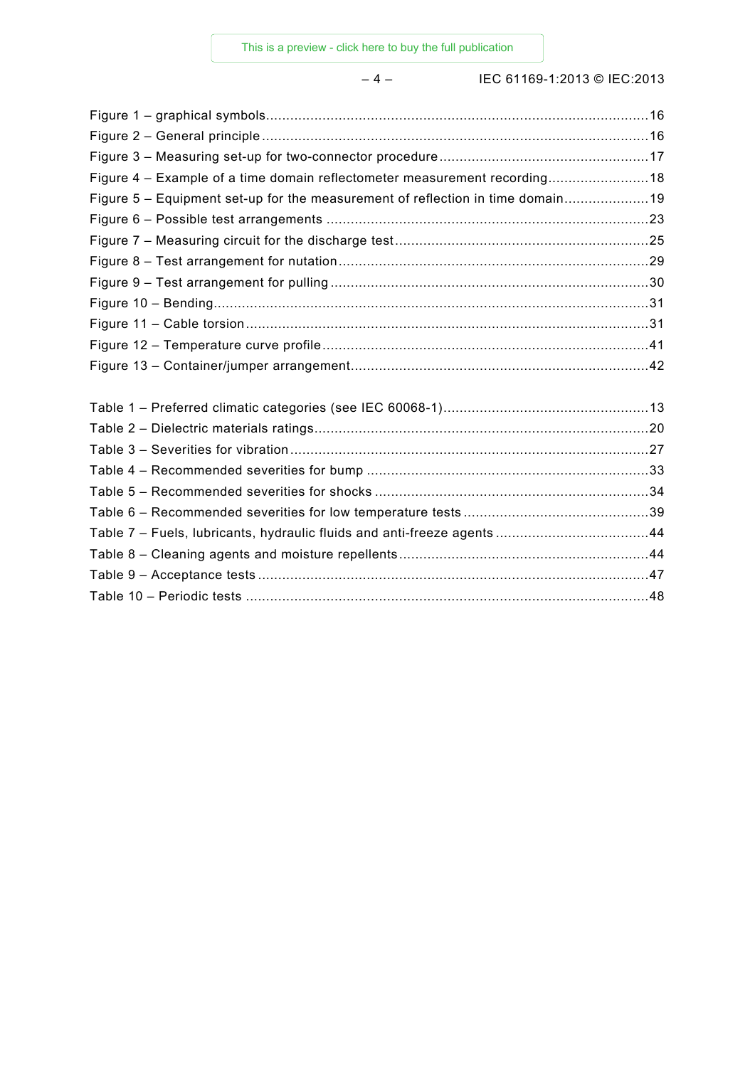– 4 – IEC 61169-1:2013 © IEC:2013

| Figure 4 - Example of a time domain reflectometer measurement recording18      |  |
|--------------------------------------------------------------------------------|--|
| Figure 5 - Equipment set-up for the measurement of reflection in time domain19 |  |
|                                                                                |  |
|                                                                                |  |
|                                                                                |  |
|                                                                                |  |
|                                                                                |  |
|                                                                                |  |
|                                                                                |  |
|                                                                                |  |
|                                                                                |  |
|                                                                                |  |
|                                                                                |  |
|                                                                                |  |
|                                                                                |  |
|                                                                                |  |
|                                                                                |  |
|                                                                                |  |
|                                                                                |  |
|                                                                                |  |
|                                                                                |  |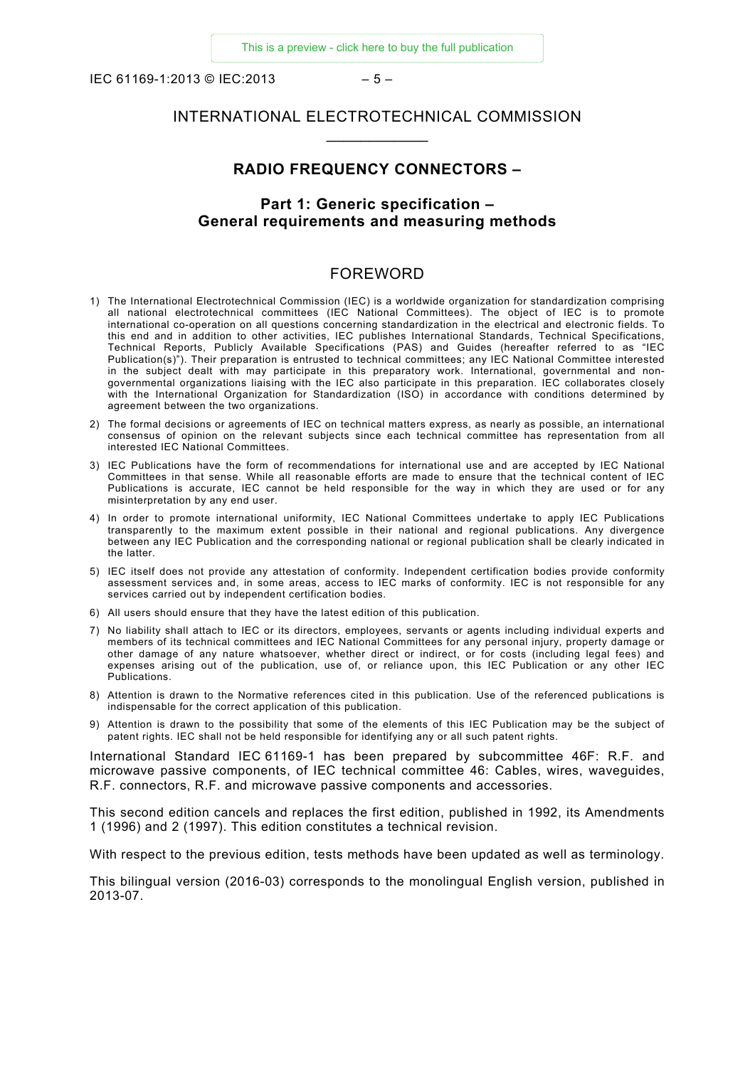IEC 61169-1:2013 © IEC:2013 – 5 –

#### INTERNATIONAL ELECTROTECHNICAL COMMISSION \_\_\_\_\_\_\_\_\_\_\_\_

#### **RADIO FREQUENCY CONNECTORS –**

# **Part 1: Generic specification – General requirements and measuring methods**

#### FOREWORD

- 1) The International Electrotechnical Commission (IEC) is a worldwide organization for standardization comprising all national electrotechnical committees (IEC National Committees). The object of IEC is to promote international co-operation on all questions concerning standardization in the electrical and electronic fields. To this end and in addition to other activities, IEC publishes International Standards, Technical Specifications, Technical Reports, Publicly Available Specifications (PAS) and Guides (hereafter referred to as "IEC Publication(s)"). Their preparation is entrusted to technical committees; any IEC National Committee interested in the subject dealt with may participate in this preparatory work. International, governmental and nongovernmental organizations liaising with the IEC also participate in this preparation. IEC collaborates closely with the International Organization for Standardization (ISO) in accordance with conditions determined by agreement between the two organizations.
- 2) The formal decisions or agreements of IEC on technical matters express, as nearly as possible, an international consensus of opinion on the relevant subjects since each technical committee has representation from all interested IEC National Committees.
- 3) IEC Publications have the form of recommendations for international use and are accepted by IEC National Committees in that sense. While all reasonable efforts are made to ensure that the technical content of IEC Publications is accurate, IEC cannot be held responsible for the way in which they are used or for any misinterpretation by any end user.
- 4) In order to promote international uniformity, IEC National Committees undertake to apply IEC Publications transparently to the maximum extent possible in their national and regional publications. Any divergence between any IEC Publication and the corresponding national or regional publication shall be clearly indicated in the latter.
- 5) IEC itself does not provide any attestation of conformity. Independent certification bodies provide conformity assessment services and, in some areas, access to IEC marks of conformity. IEC is not responsible for any services carried out by independent certification bodies.
- 6) All users should ensure that they have the latest edition of this publication.
- 7) No liability shall attach to IEC or its directors, employees, servants or agents including individual experts and members of its technical committees and IEC National Committees for any personal injury, property damage or other damage of any nature whatsoever, whether direct or indirect, or for costs (including legal fees) and expenses arising out of the publication, use of, or reliance upon, this IEC Publication or any other IEC Publications.
- 8) Attention is drawn to the Normative references cited in this publication. Use of the referenced publications is indispensable for the correct application of this publication.
- 9) Attention is drawn to the possibility that some of the elements of this IEC Publication may be the subject of patent rights. IEC shall not be held responsible for identifying any or all such patent rights.

International Standard IEC 61169-1 has been prepared by subcommittee 46F: R.F. and microwave passive components, of IEC technical committee 46: Cables, wires, waveguides, R.F. connectors, R.F. and microwave passive components and accessories.

This second edition cancels and replaces the first edition, published in 1992, its Amendments 1 (1996) and 2 (1997). This edition constitutes a technical revision.

With respect to the previous edition, tests methods have been updated as well as terminology.

This bilingual version (2016-03) corresponds to the monolingual English version, published in 2013-07.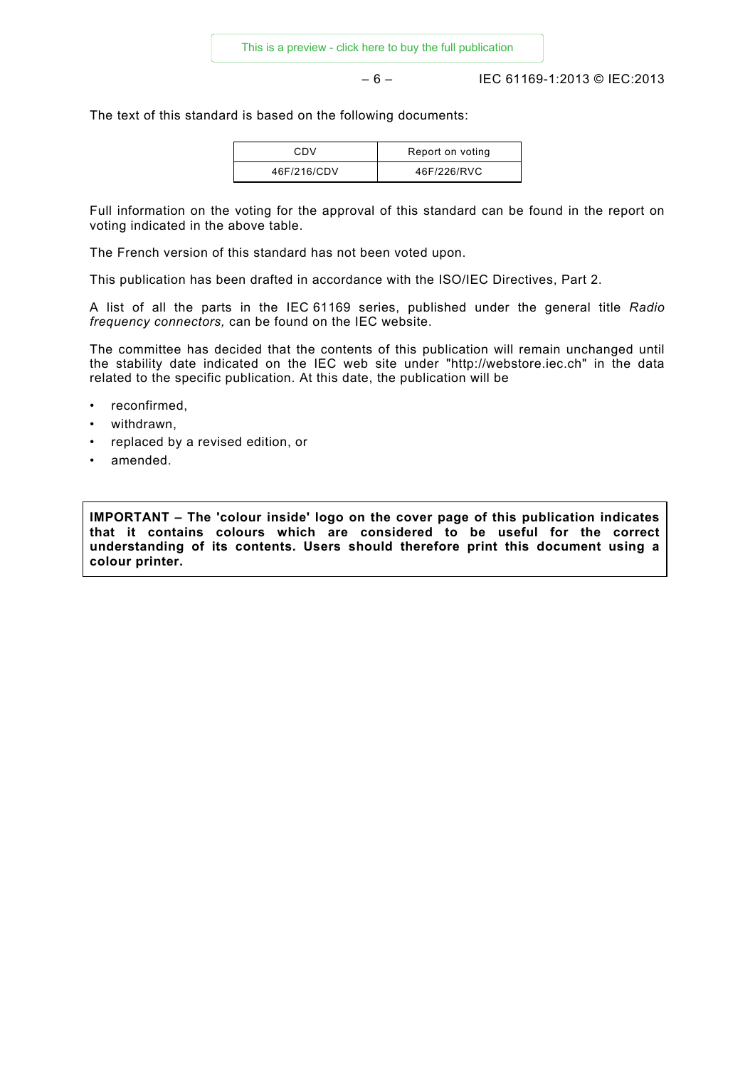– 6 – IEC 61169-1:2013 © IEC:2013

The text of this standard is based on the following documents:

| CDV         | Report on voting |
|-------------|------------------|
| 46F/216/CDV | 46F/226/RVC      |

Full information on the voting for the approval of this standard can be found in the report on voting indicated in the above table.

The French version of this standard has not been voted upon.

This publication has been drafted in accordance with the ISO/IEC Directives, Part 2.

A list of all the parts in the IEC 61169 series, published under the general title *Radio frequency connectors,* can be found on the IEC website.

The committee has decided that the contents of this publication will remain unchanged until the stability date indicated on the IEC web site under "http://webstore.iec.ch" in the data related to the specific publication. At this date, the publication will be

- reconfirmed,
- withdrawn,
- replaced by a revised edition, or
- amended.

**IMPORTANT – The 'colour inside' logo on the cover page of this publication indicates that it contains colours which are considered to be useful for the correct understanding of its contents. Users should therefore print this document using a colour printer.**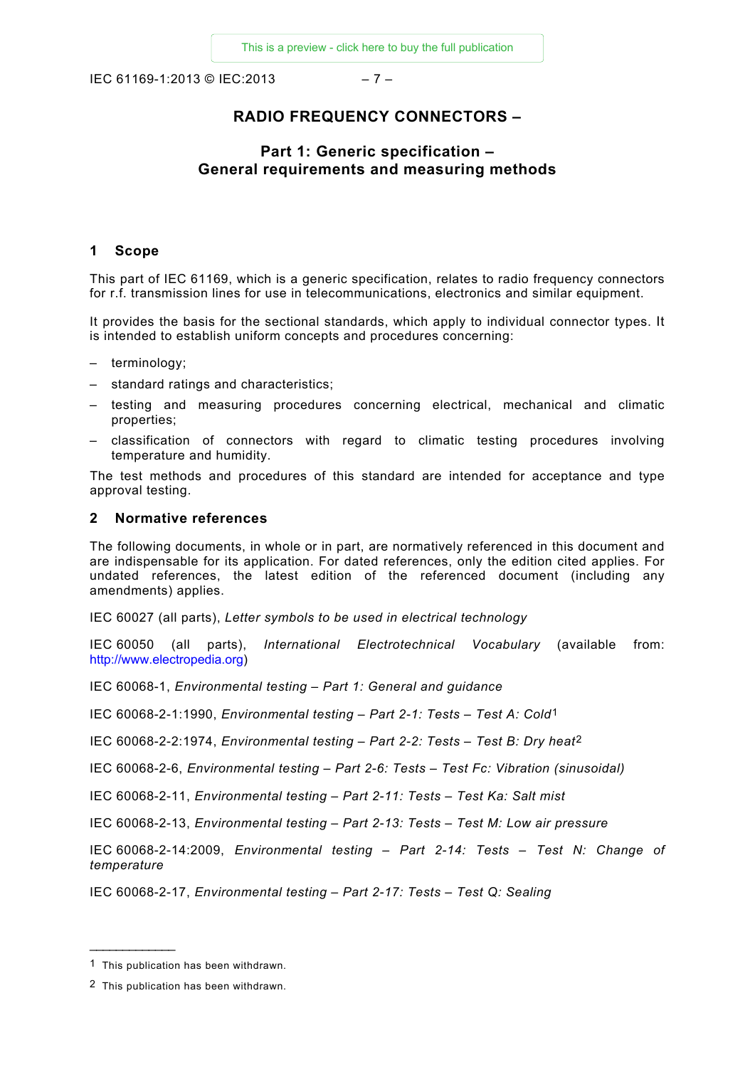IEC 61169-1:2013 © IEC:2013 – 7 –

# **RADIO FREQUENCY CONNECTORS –**

# **Part 1: Generic specification – General requirements and measuring methods**

#### **1 Scope**

This part of IEC 61169, which is a generic specification, relates to radio frequency connectors for r.f. transmission lines for use in telecommunications, electronics and similar equipment.

It provides the basis for the sectional standards, which apply to individual connector types. It is intended to establish uniform concepts and procedures concerning:

- terminology;
- standard ratings and characteristics;
- testing and measuring procedures concerning electrical, mechanical and climatic properties;
- classification of connectors with regard to climatic testing procedures involving temperature and humidity.

The test methods and procedures of this standard are intended for acceptance and type approval testing.

#### **2 Normative references**

The following documents, in whole or in part, are normatively referenced in this document and are indispensable for its application. For dated references, only the edition cited applies. For undated references, the latest edition of the referenced document (including any amendments) applies.

IEC 60027 (all parts), *Letter symbols to be used in electrical technology* 

IEC 60050 (all parts), *International Electrotechnical Vocabulary* (available from: [http://www.electropedia.org\)](http://www.electropedia.org/)

IEC 60068-1, *Environmental testing – Part 1: General and guidance*

IEC 60068-2-1:1990, *Environmental testing – Part 2-1: Tests – Test A: Cold*[1](#page-6-0)

IEC 60068-2-2:1974, *Environmental testing – Part 2-2: Tests – Test B: Dry heat*[2](#page-6-1)

IEC 60068-2-6, *Environmental testing – Part 2-6: Tests – Test Fc: Vibration (sinusoidal)*

IEC 60068-2-11, *Environmental testing – Part 2-11: Tests – Test Ka: Salt mist*

IEC 60068-2-13, *Environmental testing – Part 2-13: Tests – Test M: Low air pressure*

IEC 60068-2-14:2009, *Environmental testing – Part 2-14: Tests – Test N: Change of temperature*

IEC 60068-2-17, *Environmental testing – Part 2-17: Tests – Test Q: Sealing*

<span id="page-6-0"></span><sup>1</sup> This publication has been withdrawn.

<span id="page-6-1"></span><sup>2</sup> This publication has been withdrawn.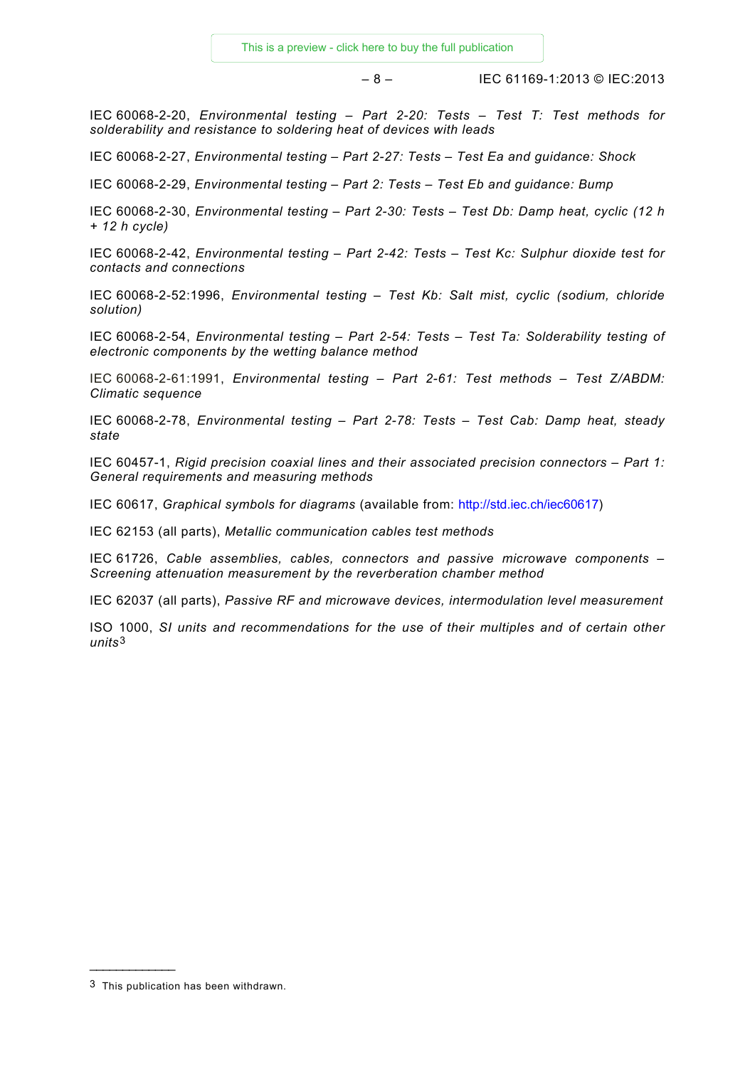– 8 – IEC 61169-1:2013 © IEC:2013

IEC 60068-2-20, *Environmental testing – Part 2-20: Tests – Test T: Test methods for solderability and resistance to soldering heat of devices with leads*

IEC 60068-2-27, *Environmental testing – Part 2-27: Tests – Test Ea and guidance: Shock*

IEC 60068-2-29, *Environmental testing – Part 2: Tests – Test Eb and guidance: Bump*

IEC 60068-2-30, *Environmental testing – Part 2-30: Tests – Test Db: Damp heat, cyclic (12 h + 12 h cycle)*

IEC 60068-2-42, *Environmental testing – Part 2-42: Tests – Test Kc: Sulphur dioxide test for contacts and connections*

IEC 60068-2-52:1996, *Environmental testing – Test Kb: Salt mist, cyclic (sodium, chloride solution)*

IEC 60068-2-54, *Environmental testing – Part 2-54: Tests – Test Ta: Solderability testing of electronic components by the wetting balance method*

IEC 60068-2-61:1991, *Environmental testing – Part 2-61: Test methods – Test Z/ABDM: Climatic sequence*

IEC 60068-2-78, *Environmental testing – Part 2-78: Tests – Test Cab: Damp heat, steady state*

IEC 60457-1, *Rigid precision coaxial lines and their associated precision connectors – Part 1: General requirements and measuring methods*

IEC 60617, *Graphical symbols for diagrams* (available from: http://std.iec.ch/iec60617)

IEC 62153 (all parts), *Metallic communication cables test methods*

IEC 61726, *Cable assemblies, cables, connectors and passive microwave components – Screening attenuation measurement by the reverberation chamber method*

IEC 62037 (all parts), *Passive RF and microwave devices, intermodulation level measurement* 

ISO 1000, *SI units and recommendations for the use of their multiples and of certain other units*[3](#page-7-0)

<span id="page-7-0"></span><sup>3</sup> This publication has been withdrawn.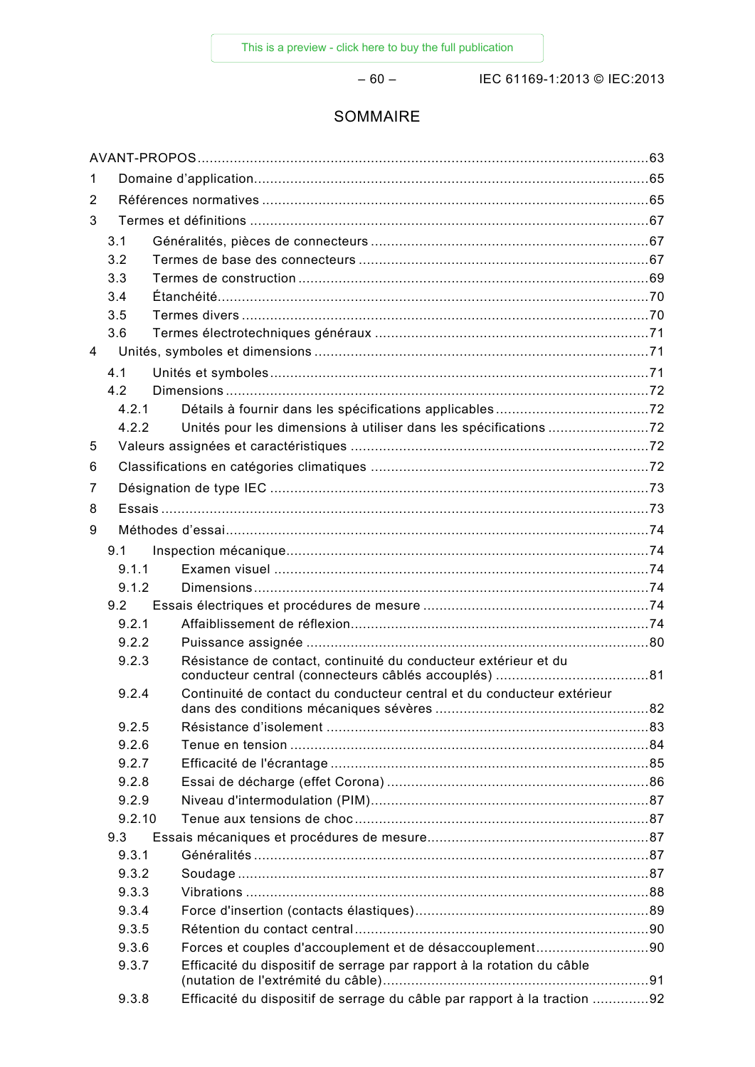– 60 – IEC 61169-1:2013 © IEC:2013

# SOMMAIRE

| 1 |        |                                                                           |  |  |
|---|--------|---------------------------------------------------------------------------|--|--|
| 2 |        |                                                                           |  |  |
| 3 |        |                                                                           |  |  |
|   | 3.1    |                                                                           |  |  |
|   | 3.2    |                                                                           |  |  |
|   | 3.3    |                                                                           |  |  |
|   | 3.4    |                                                                           |  |  |
|   | 3.5    |                                                                           |  |  |
|   | 3.6    |                                                                           |  |  |
| 4 |        |                                                                           |  |  |
|   | 4.1    |                                                                           |  |  |
|   | 4.2    |                                                                           |  |  |
|   | 4.2.1  |                                                                           |  |  |
|   | 4.2.2  |                                                                           |  |  |
| 5 |        |                                                                           |  |  |
| 6 |        |                                                                           |  |  |
| 7 |        |                                                                           |  |  |
| 8 |        |                                                                           |  |  |
| 9 |        |                                                                           |  |  |
|   | 9.1    |                                                                           |  |  |
|   | 9.1.1  |                                                                           |  |  |
|   | 9.1.2  |                                                                           |  |  |
|   | 9.2    |                                                                           |  |  |
|   | 9.2.1  |                                                                           |  |  |
|   | 9.2.2  |                                                                           |  |  |
|   | 9.2.3  | Résistance de contact, continuité du conducteur extérieur et du           |  |  |
|   | 9.2.4  | Continuité de contact du conducteur central et du conducteur extérieur    |  |  |
|   | 9.2.5  |                                                                           |  |  |
|   | 9.2.6  |                                                                           |  |  |
|   | 9.2.7  |                                                                           |  |  |
|   | 9.2.8  |                                                                           |  |  |
|   | 9.2.9  |                                                                           |  |  |
|   | 9.2.10 |                                                                           |  |  |
|   | 9.3    |                                                                           |  |  |
|   | 9.3.1  |                                                                           |  |  |
|   | 9.3.2  |                                                                           |  |  |
|   | 9.3.3  |                                                                           |  |  |
|   | 9.3.4  |                                                                           |  |  |
|   | 9.3.5  |                                                                           |  |  |
|   | 9.3.6  | Forces et couples d'accouplement et de désaccouplement90                  |  |  |
|   | 9.3.7  | Efficacité du dispositif de serrage par rapport à la rotation du câble    |  |  |
|   | 9.3.8  | Efficacité du dispositif de serrage du câble par rapport à la traction 92 |  |  |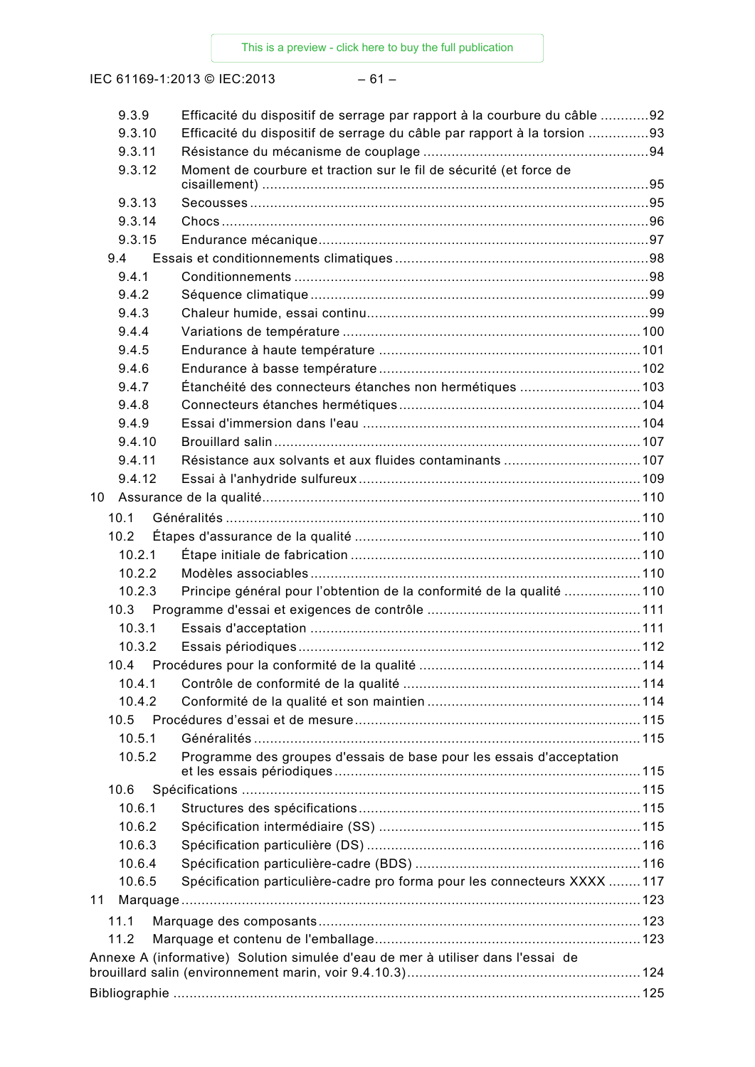IEC 61169-1:2013 © IEC:2013 – 61 –

| 9.3.9  | Efficacité du dispositif de serrage par rapport à la courbure du câble 92       |  |
|--------|---------------------------------------------------------------------------------|--|
| 9.3.10 | Efficacité du dispositif de serrage du câble par rapport à la torsion 93        |  |
| 9.3.11 |                                                                                 |  |
| 9.3.12 | Moment de courbure et traction sur le fil de sécurité (et force de              |  |
| 9.3.13 |                                                                                 |  |
| 9.3.14 |                                                                                 |  |
| 9.3.15 |                                                                                 |  |
| 9.4    |                                                                                 |  |
| 9.4.1  |                                                                                 |  |
| 9.4.2  |                                                                                 |  |
| 9.4.3  |                                                                                 |  |
| 9.4.4  |                                                                                 |  |
| 9.4.5  |                                                                                 |  |
| 9.4.6  |                                                                                 |  |
| 9.4.7  | Étanchéité des connecteurs étanches non hermétiques  103                        |  |
| 9.4.8  |                                                                                 |  |
| 9.4.9  |                                                                                 |  |
| 9.4.10 |                                                                                 |  |
| 9.4.11 | Résistance aux solvants et aux fluides contaminants 107                         |  |
| 9.4.12 |                                                                                 |  |
| 10     |                                                                                 |  |
| 10.1   |                                                                                 |  |
| 10.2   |                                                                                 |  |
| 10.2.1 |                                                                                 |  |
| 10.2.2 |                                                                                 |  |
| 10.2.3 | Principe général pour l'obtention de la conformité de la qualité 110            |  |
|        |                                                                                 |  |
| 10.3.1 |                                                                                 |  |
| 10.3.2 |                                                                                 |  |
|        |                                                                                 |  |
| 10.4.1 |                                                                                 |  |
| 10.4.2 |                                                                                 |  |
| 10.5   |                                                                                 |  |
| 10.5.1 |                                                                                 |  |
| 10.5.2 | Programme des groupes d'essais de base pour les essais d'acceptation            |  |
|        |                                                                                 |  |
| 10.6   |                                                                                 |  |
| 10.6.1 |                                                                                 |  |
| 10.6.2 |                                                                                 |  |
| 10.6.3 |                                                                                 |  |
| 10.6.4 |                                                                                 |  |
| 10.6.5 | Spécification particulière-cadre pro forma pour les connecteurs XXXX 117        |  |
| 11     |                                                                                 |  |
| 11.1   |                                                                                 |  |
| 11.2   |                                                                                 |  |
|        | Annexe A (informative) Solution simulée d'eau de mer à utiliser dans l'essai de |  |
|        |                                                                                 |  |
|        |                                                                                 |  |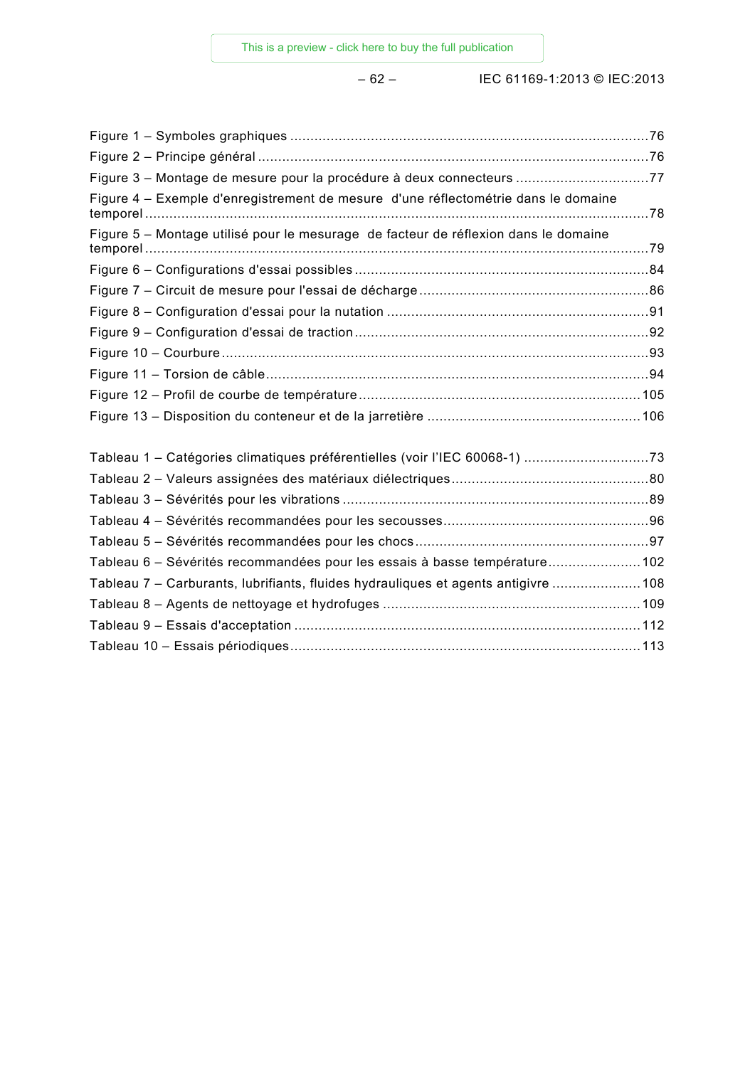| Figure 3 - Montage de mesure pour la procédure à deux connecteurs 77                |  |
|-------------------------------------------------------------------------------------|--|
| Figure 4 – Exemple d'enregistrement de mesure d'une réflectométrie dans le domaine  |  |
| Figure 5 - Montage utilisé pour le mesurage de facteur de réflexion dans le domaine |  |
|                                                                                     |  |
|                                                                                     |  |
|                                                                                     |  |
|                                                                                     |  |
|                                                                                     |  |
|                                                                                     |  |
|                                                                                     |  |
|                                                                                     |  |
| Tableau 1 - Catégories climatiques préférentielles (voir l'IEC 60068-1) 73          |  |
|                                                                                     |  |
|                                                                                     |  |
|                                                                                     |  |
|                                                                                     |  |
| Tableau 6 - Sévérités recommandées pour les essais à basse température102           |  |
| Tableau 7 - Carburants, lubrifiants, fluides hydrauliques et agents antigivre  108  |  |
|                                                                                     |  |
|                                                                                     |  |
|                                                                                     |  |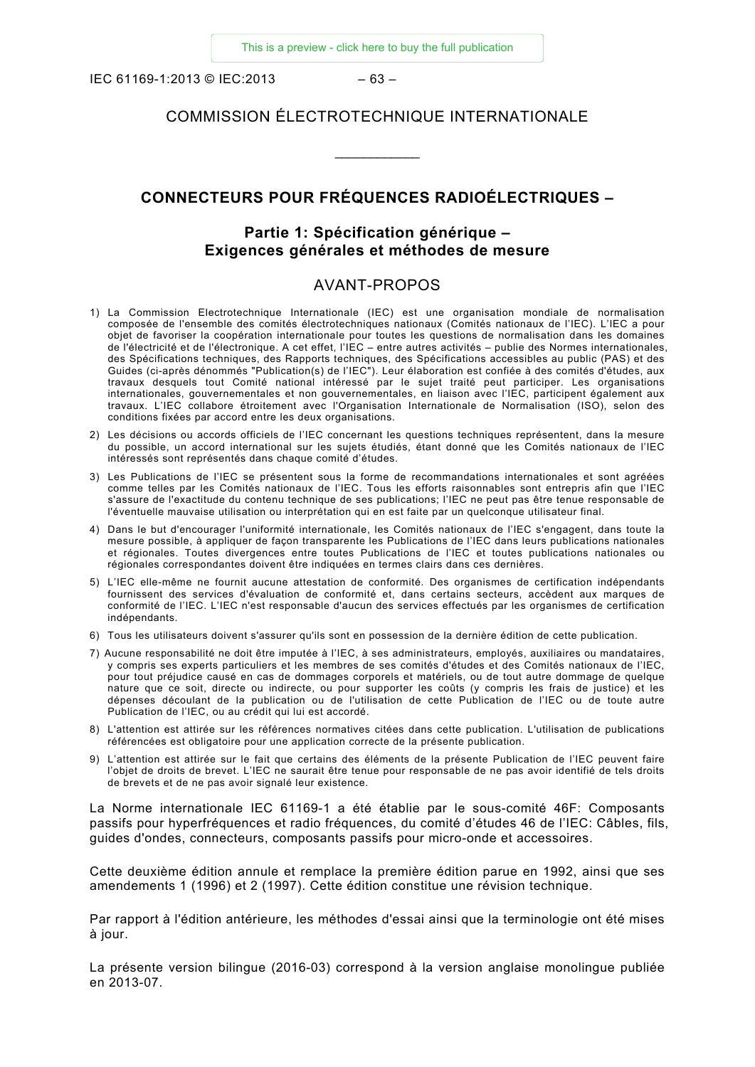IEC 61169-1:2013 © IEC:2013 – 63 –

#### COMMISSION ÉLECTROTECHNIQUE INTERNATIONALE

\_\_\_\_\_\_\_\_\_\_\_\_

# **CONNECTEURS POUR FRÉQUENCES RADIOÉLECTRIQUES –**

#### **Partie 1: Spécification générique – Exigences générales et méthodes de mesure**

#### AVANT-PROPOS

- <span id="page-11-0"></span>1) La Commission Electrotechnique Internationale (IEC) est une organisation mondiale de normalisation composée de l'ensemble des comités électrotechniques nationaux (Comités nationaux de l'IEC). L'IEC a pour objet de favoriser la coopération internationale pour toutes les questions de normalisation dans les domaines de l'électricité et de l'électronique. A cet effet, l'IEC – entre autres activités – publie des Normes internationales, des Spécifications techniques, des Rapports techniques, des Spécifications accessibles au public (PAS) et des Guides (ci-après dénommés "Publication(s) de l'IEC"). Leur élaboration est confiée à des comités d'études, aux travaux desquels tout Comité national intéressé par le sujet traité peut participer. Les organisations internationales, gouvernementales et non gouvernementales, en liaison avec l'IEC, participent également aux travaux. L'IEC collabore étroitement avec l'Organisation Internationale de Normalisation (ISO), selon des conditions fixées par accord entre les deux organisations.
- 2) Les décisions ou accords officiels de l'IEC concernant les questions techniques représentent, dans la mesure du possible, un accord international sur les sujets étudiés, étant donné que les Comités nationaux de l'IEC intéressés sont représentés dans chaque comité d'études.
- 3) Les Publications de l'IEC se présentent sous la forme de recommandations internationales et sont agréées comme telles par les Comités nationaux de l'IEC. Tous les efforts raisonnables sont entrepris afin que l'IEC s'assure de l'exactitude du contenu technique de ses publications; l'IEC ne peut pas être tenue responsable de l'éventuelle mauvaise utilisation ou interprétation qui en est faite par un quelconque utilisateur final.
- 4) Dans le but d'encourager l'uniformité internationale, les Comités nationaux de l'IEC s'engagent, dans toute la mesure possible, à appliquer de façon transparente les Publications de l'IEC dans leurs publications nationales et régionales. Toutes divergences entre toutes Publications de l'IEC et toutes publications nationales ou régionales correspondantes doivent être indiquées en termes clairs dans ces dernières.
- 5) L'IEC elle-même ne fournit aucune attestation de conformité. Des organismes de certification indépendants fournissent des services d'évaluation de conformité et, dans certains secteurs, accèdent aux marques de conformité de l'IEC. L'IEC n'est responsable d'aucun des services effectués par les organismes de certification indépendants.
- 6) Tous les utilisateurs doivent s'assurer qu'ils sont en possession de la dernière édition de cette publication.
- 7) Aucune responsabilité ne doit être imputée à l'IEC, à ses administrateurs, employés, auxiliaires ou mandataires, y compris ses experts particuliers et les membres de ses comités d'études et des Comités nationaux de l'IEC, pour tout préjudice causé en cas de dommages corporels et matériels, ou de tout autre dommage de quelque nature que ce soit, directe ou indirecte, ou pour supporter les coûts (y compris les frais de justice) et les dépenses découlant de la publication ou de l'utilisation de cette Publication de l'IEC ou de toute autre Publication de l'IEC, ou au crédit qui lui est accordé.
- 8) L'attention est attirée sur les références normatives citées dans cette publication. L'utilisation de publications référencées est obligatoire pour une application correcte de la présente publication.
- 9) L'attention est attirée sur le fait que certains des éléments de la présente Publication de l'IEC peuvent faire l'objet de droits de brevet. L'IEC ne saurait être tenue pour responsable de ne pas avoir identifié de tels droits de brevets et de ne pas avoir signalé leur existence.

La Norme internationale IEC 61169-1 a été établie par le sous-comité 46F: Composants passifs pour hyperfréquences et radio fréquences, du comité d'études 46 de l'IEC: Câbles, fils, guides d'ondes, connecteurs, composants passifs pour micro-onde et accessoires.

Cette deuxième édition annule et remplace la première édition parue en 1992, ainsi que ses amendements 1 (1996) et 2 (1997). Cette édition constitue une révision technique.

Par rapport à l'édition antérieure, les méthodes d'essai ainsi que la terminologie ont été mises à jour.

La présente version bilingue (2016-03) correspond à la version anglaise monolingue publiée en 2013-07.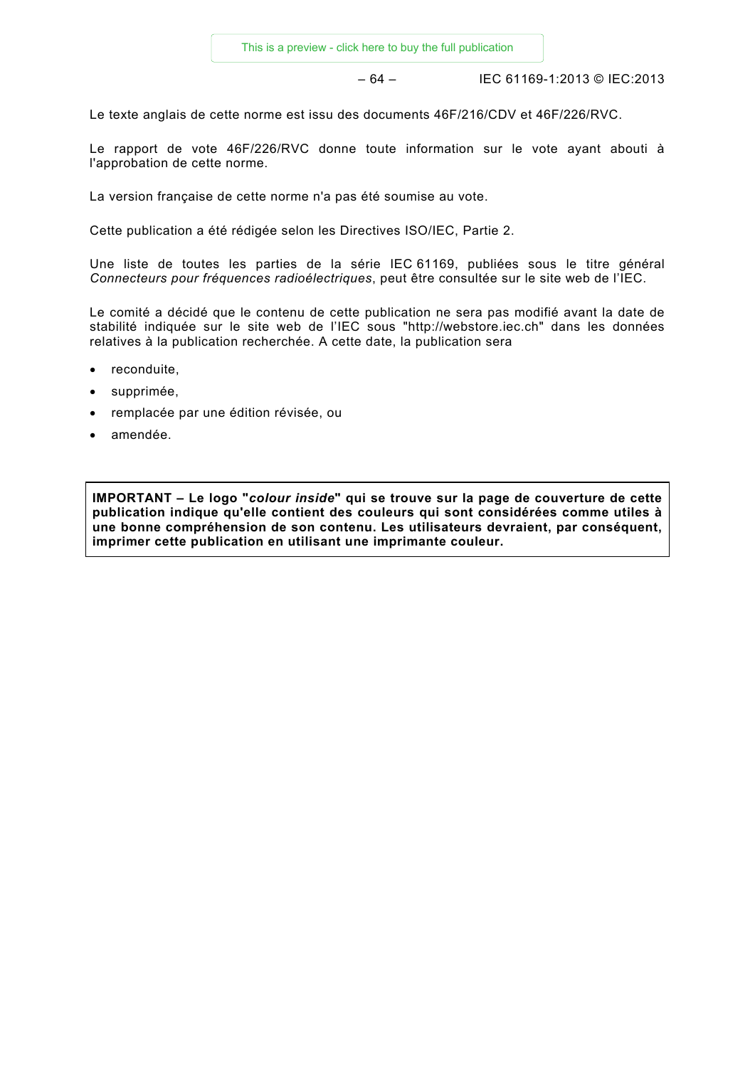– 64 – IEC 61169-1:2013 © IEC:2013

Le texte anglais de cette norme est issu des documents 46F/216/CDV et 46F/226/RVC.

Le rapport de vote 46F/226/RVC donne toute information sur le vote ayant abouti à l'approbation de cette norme.

La version française de cette norme n'a pas été soumise au vote.

Cette publication a été rédigée selon les Directives ISO/IEC, Partie 2.

Une liste de toutes les parties de la série IEC 61169, publiées sous le titre général *Connecteurs pour fréquences radioélectriques*, peut être consultée sur le site web de l'IEC.

Le comité a décidé que le contenu de cette publication ne sera pas modifié avant la date de stabilité indiquée sur le site web de l'IEC sous "http://webstore.iec.ch" dans les données relatives à la publication recherchée. A cette date, la publication sera

- reconduite,
- supprimée,
- remplacée par une édition révisée, ou
- amendée.

**IMPORTANT – Le logo "***colour inside***" qui se trouve sur la page de couverture de cette publication indique qu'elle contient des couleurs qui sont considérées comme utiles à une bonne compréhension de son contenu. Les utilisateurs devraient, par conséquent, imprimer cette publication en utilisant une imprimante couleur.**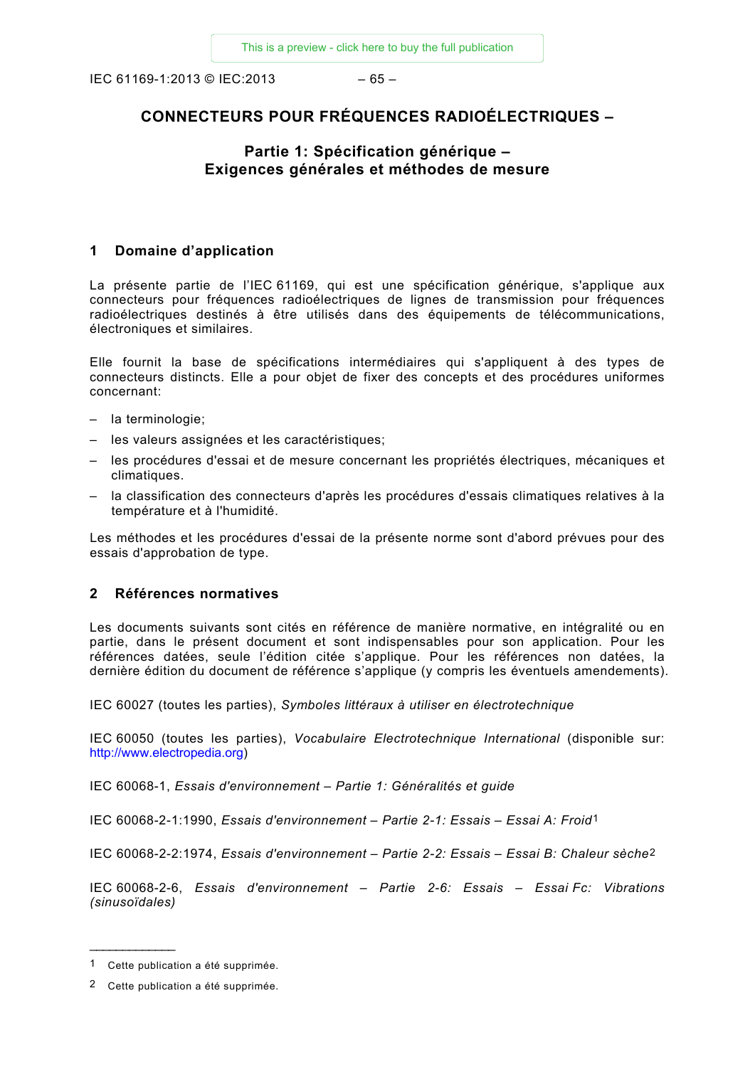IEC 61169-1:2013 © IEC:2013 – 65 –

# **CONNECTEURS POUR FRÉQUENCES RADIOÉLECTRIQUES –**

# **Partie 1: Spécification générique – Exigences générales et méthodes de mesure**

#### <span id="page-13-0"></span>**1 Domaine d'application**

La présente partie de l'IEC 61169, qui est une spécification générique, s'applique aux connecteurs pour fréquences radioélectriques de lignes de transmission pour fréquences radioélectriques destinés à être utilisés dans des équipements de télécommunications, électroniques et similaires.

Elle fournit la base de spécifications intermédiaires qui s'appliquent à des types de connecteurs distincts. Elle a pour objet de fixer des concepts et des procédures uniformes concernant:

- la terminologie;
- les valeurs assignées et les caractéristiques;
- les procédures d'essai et de mesure concernant les propriétés électriques, mécaniques et climatiques.
- la classification des connecteurs d'après les procédures d'essais climatiques relatives à la température et à l'humidité.

Les méthodes et les procédures d'essai de la présente norme sont d'abord prévues pour des essais d'approbation de type.

#### <span id="page-13-1"></span>**2 Références normatives**

Les documents suivants sont cités en référence de manière normative, en intégralité ou en partie, dans le présent document et sont indispensables pour son application. Pour les références datées, seule l'édition citée s'applique. Pour les références non datées, la dernière édition du document de référence s'applique (y compris les éventuels amendements).

IEC 60027 (toutes les parties), *Symboles littéraux à utiliser en électrotechnique* 

IEC 60050 (toutes les parties), *Vocabulaire Electrotechnique International* (disponible sur: [http://www.electropedia.org\)](http://www.electropedia.org/)

IEC 60068-1, *Essais d'environnement – Partie 1: Généralités et guide*

IEC 60068-2-1:1990, *Essais d'environnement – Partie 2-1: Essais – Essai A: Froid*[1](#page-13-2)

IEC 60068-2-2:1974, *Essais d'environnement – Partie 2-2: Essais – Essai B: Chaleur sèche*[2](#page-13-3)

IEC 60068-2-6, *Essais d'environnement – Partie 2-6: Essais – Essai Fc: Vibrations (sinusoïdales)*

<span id="page-13-2"></span><sup>1</sup> Cette publication a été supprimée.

<span id="page-13-3"></span><sup>2</sup> Cette publication a été supprimée.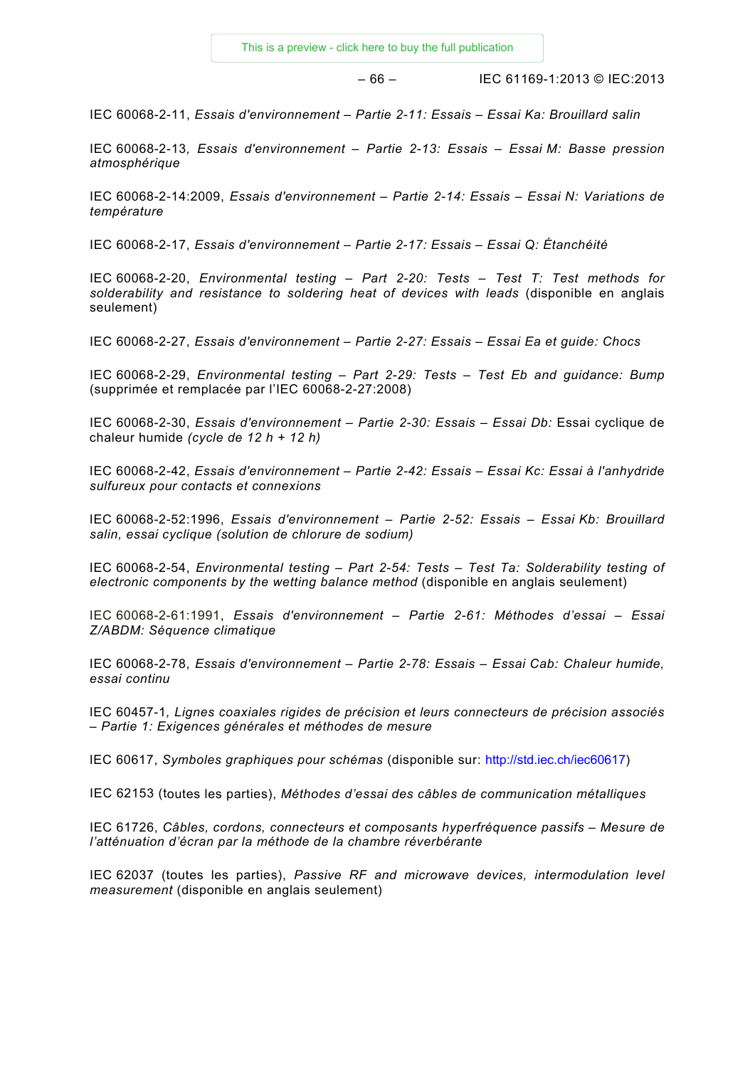$-66 -$  IEC 61169-1:2013 © IEC:2013

IEC 60068-2-11, *Essais d'environnement – Partie 2-11: Essais – Essai Ka: Brouillard salin*

IEC 60068-2-13*, Essais d'environnement – Partie 2-13: Essais – Essai M: Basse pression atmosphérique*

IEC 60068-2-14:2009, *Essais d'environnement – Partie 2-14: Essais – Essai N: Variations de température*

IEC 60068-2-17, *Essais d'environnement – Partie 2-17: Essais – Essai Q: Étanchéité*

IEC 60068-2-20, *Environmental testing – Part 2-20: Tests – Test T: Test methods for solderability and resistance to soldering heat of devices with leads* (disponible en anglais seulement)

IEC 60068-2-27, *Essais d'environnement – Partie 2-27: Essais – Essai Ea et guide: Chocs*

IEC 60068-2-29, *Environmental testing – Part 2-29: Tests – Test Eb and guidance: Bump* (supprimée et remplacée par l'IEC 60068-2-27:2008)

IEC 60068-2-30, *Essais d'environnement – Partie 2-30: Essais – Essai Db:* Essai cyclique de chaleur humide *(cycle de 12 h + 12 h)*

IEC 60068-2-42, *Essais d'environnement – Partie 2-42: Essais – Essai Kc: Essai à l'anhydride sulfureux pour contacts et connexions*

IEC 60068-2-52:1996, *Essais d'environnement – Partie 2-52: Essais – Essai Kb: Brouillard salin, essai cyclique (solution de chlorure de sodium)*

IEC 60068-2-54, *Environmental testing – Part 2-54: Tests – Test Ta: Solderability testing of electronic components by the wetting balance method* (disponible en anglais seulement)

IEC 60068-2-61:1991, *Essais d'environnement – Partie 2-61: Méthodes d'essai – Essai Z/ABDM: Séquence climatique*

IEC 60068-2-78, *Essais d'environnement – Partie 2-78: Essais – Essai Cab: Chaleur humide, essai continu*

IEC 60457-1*, Lignes coaxiales rigides de précision et leurs connecteurs de précision associés – Partie 1: Exigences générales et méthodes de mesure*

IEC 60617, *Symboles graphiques pour schémas* (disponible sur: http://std.iec.ch/iec60617)

IEC 62153 (toutes les parties), *Méthodes d'essai des câbles de communication métalliques*

IEC 61726, *Câbles, cordons, connecteurs et composants hyperfréquence passifs – Mesure de l'atténuation d'écran par la méthode de la chambre réverbérante*

IEC 62037 (toutes les parties), *Passive RF and microwave devices, intermodulation level measurement* (disponible en anglais seulement)